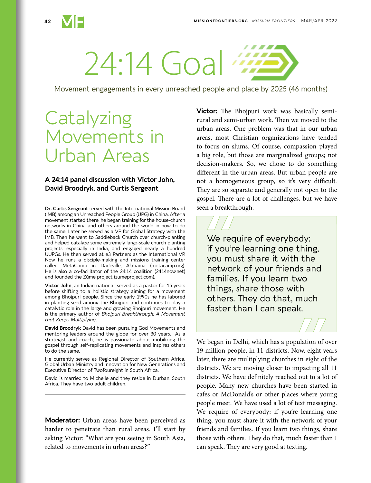

# 24:14 Goal

Movement engagements in every unreached people and place by 2025 (46 months)

## **Catalyzing** Movements in Urban Areas

## **A 24:14 panel discussion with Victor John, David Broodryk, and Curtis Sergeant**

**Dr. Curtis Sergeant** served with the International Mission Board (IMB) among an Unreached People Group (UPG) in China. After a movement started there, he began training for the house-church networks in China and others around the world in how to do the same. Later he served as a VP for Global Strategy with the IMB. Then he went to Saddleback Church over church-planting and helped catalyze some extremely large-scale church planting projects, especially in India, and engaged nearly a hundred UUPGs. He then served at e3 Partners as the International VP. Now he runs a disciple-making and missions training center called MetaCamp in Dadeville, Alabama (metacamp.org). He is also a co-facilitator of the 24:14 coalition (2414now.net) and founded the Zúme project (zumeproject.com).

**Victor John**, an Indian national, served as a pastor for 15 years before shifting to a holistic strategy aiming for a movement among Bhojpuri people. Since the early 1990s he has labored in planting seed among the Bhojpuri and continues to play a catalytic role in the large and growing Bhojpuri movement. He is the primary author of *Bhojpuri Breakthrough: A Movement that Keeps Multiplying*.

**David Broodryk** David has been pursuing God Movements and mentoring leaders around the globe for over 30 years. As a strategist and coach, he is passionate about mobilizing the gospel through self-replicating movements and inspires others to do the same.

He currently serves as Regional Director of Southern Africa, Global Urban Ministry and Innovation for New Generations and Executive Director of Twofoureight in South Africa.

David is married to Michelle and they reside in Durban, South Africa. They have two adult children.

**Moderator:** Urban areas have been perceived as harder to penetrate than rural areas. I'll start by asking Victor: "What are you seeing in South Asia, related to movements in urban areas?"

**Victor:** The Bhojpuri work was basically semirural and semi-urban work. Then we moved to the urban areas. One problem was that in our urban areas, most Christian organizations have tended to focus on slums. Of course, compassion played a big role, but those are marginalized groups; not decision-makers. So, we chose to do something different in the urban areas. But urban people are not a homogeneous group, so it's very difficult. They are so separate and generally not open to the gospel. There are a lot of challenges, but we have seen a breakthrough.



We began in Delhi, which has a population of over 19 million people, in 11 districts. Now, eight years later, there are multiplying churches in eight of the districts. We are moving closer to impacting all 11 districts. We have definitely reached out to a lot of people. Many new churches have been started in cafes or McDonald's or other places where young people meet. We have used a lot of text messaging. We require of everybody: if you're learning one thing, you must share it with the network of your friends and families. If you learn two things, share those with others. They do that, much faster than I can speak. They are very good at texting.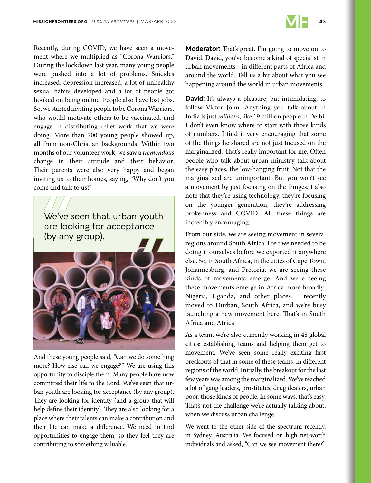

Recently, during COVID, we have seen a movement where we multiplied as "Corona Warriors." During the lockdown last year, many young people were pushed into a lot of problems. Suicides increased, depression increased, a lot of unhealthy sexual habits developed and a lot of people got hooked on being online. People also have lost jobs. So, we started inviting people to be Corona Warriors, who would motivate others to be vaccinated, and engage in distributing relief work that we were doing. More than 700 young people showed up, all from non-Christian backgrounds. Within two months of our volunteer work, we saw a *tremendous* change in their attitude and their behavior. Their parents were also very happy and began inviting us to their homes, saying, "Why don't you come and talk to us?"



And these young people said, "Can we do something more? How else can we engage?" We are using this opportunity to disciple them. Many people have now committed their life to the Lord. We've seen that urban youth are looking for acceptance (by any group). They are looking for identity (and a group that will help define their identity). They are also looking for a place where their talents can make a contribution and their life can make a difference. We need to find opportunities to engage them, so they feel they are contributing to something valuable.

**Moderator:** That's great. I'm going to move on to David. David, you've become a kind of specialist in urban movements—in different parts of Africa and around the world. Tell us a bit about what you see happening around the world in urban movements.

**David:** It's always a pleasure, but intimidating, to follow Victor John. Anything you talk about in India is just *millions*, like 19 million people in Delhi. I don't even know where to start with those kinds of numbers. I find it very encouraging that some of the things he shared are not just focused on the marginalized. That's really important for me. Often people who talk about urban ministry talk about the easy places, the low-hanging fruit. Not that the marginalized are unimportant. But you won't see a movement by just focusing on the fringes. I also note that they're using technology, they're focusing on the younger generation, they're addressing brokenness and COVID. All these things are incredibly encouraging.

From our side, we are seeing movement in several regions around South Africa. I felt we needed to be doing it ourselves before we exported it anywhere else. So, in South Africa, in the cities of Cape Town, Johannesburg, and Pretoria, we are seeing these kinds of movements emerge. And we're seeing these movements emerge in Africa more broadly: Nigeria, Uganda, and other places. I recently moved to Durban, South Africa, and we're busy launching a new movement here. That's in South Africa and Africa.

As a team, we're also currently working in 48 global cities: establishing teams and helping them get to movement. We've seen some really exciting first breakouts of that in some of these teams, in different regions of the world. Initially, the breakout for the last few years was among the marginalized. We've reached a lot of gang leaders, prostitutes, drug dealers, urban poor, those kinds of people. In some ways, that's easy. That's not the challenge we're actually talking about, when we discuss urban challenge.

We went to the other side of the spectrum recently, in Sydney, Australia. We focused on high net-worth individuals and asked, "Can we see movement there?"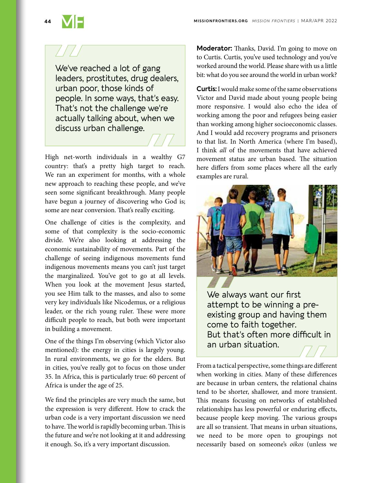We've reached a lot of gang leaders, prostitutes, drug dealers, urban poor, those kinds of people. In some ways, that's easy. That's not the challenge we're actually talking about, when we discuss urban challenge.

High net-worth individuals in a wealthy G7 country: that's a pretty high target to reach. We ran an experiment for months, with a whole new approach to reaching these people, and we've seen some significant breakthrough. Many people have begun a journey of discovering who God is; some are near conversion. That's really exciting.

One challenge of cities is the complexity, and some of that complexity is the socio-economic divide. We're also looking at addressing the economic sustainability of movements. Part of the challenge of seeing indigenous movements fund indigenous movements means you can't just target the marginalized. You've got to go at all levels. When you look at the movement Jesus started, you see Him talk to the masses, and also to some very key individuals like Nicodemus, or a religious leader, or the rich young ruler. These were more difficult people to reach, but both were important in building a movement.

One of the things I'm observing (which Victor also mentioned): the energy in cities is largely young. In rural environments, we go for the elders. But in cities, you've really got to focus on those under 35. In Africa, this is particularly true: 60 percent of Africa is under the age of 25.

We find the principles are very much the same, but the expression is very different. How to crack the urban code is a very important discussion we need to have. The world is rapidly becoming urban. This is the future and we're not looking at it and addressing it enough. So, it's a very important discussion.

**Moderator:** Thanks, David. I'm going to move on to Curtis. Curtis, you've used technology and you've worked around the world. Please share with us a little bit: what do you see around the world in urban work?

**Curtis:** I would make some of the same observations Victor and David made about young people being more responsive. I would also echo the idea of working among the poor and refugees being easier than working among higher socioeconomic classes. And I would add recovery programs and prisoners to that list. In North America (where I'm based), I think *all* of the movements that have achieved movement status are urban based. The situation here differs from some places where all the early examples are rural.



We always want our first attempt to be winning a preexisting group and having them come to faith together. But that's often more difficult in an urban situation.

From a tactical perspective, some things are different when working in cities. Many of these differences are because in urban centers, the relational chains tend to be shorter, shallower, and more transient. This means focusing on networks of established relationships has less powerful or enduring effects, because people keep moving. The various groups are all so transient. That means in urban situations, we need to be more open to groupings not necessarily based on someone's *oikos* (unless we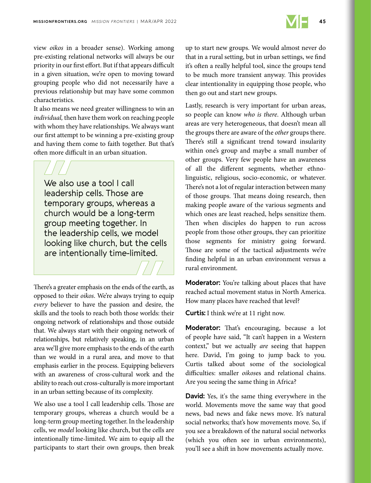

view *oikos* in a broader sense). Working among pre-existing relational networks will always be our priority in our first effort. But if that appears difficult in a given situation, we're open to moving toward grouping people who did not necessarily have a previous relationship but may have some common characteristics.

It also means we need greater willingness to win an *individual,* then have them work on reaching people with whom they have relationships. We always want our first attempt to be winning a pre-existing group and having them come to faith together. But that's often more difficult in an urban situation.

We also use a tool I call leadership cells. Those are temporary groups, whereas a church would be a long-term group meeting together. In the leadership cells, we model looking like church, but the cells are intentionally time-limited.

There's a greater emphasis on the ends of the earth, as opposed to their *oikos*. We're always trying to equip *every* believer to have the passion and desire, the skills and the tools to reach both those worlds: their ongoing network of relationships and those outside that. We always start with their ongoing network of relationships, but relatively speaking, in an urban area we'll give more emphasis to the ends of the earth than we would in a rural area, and move to that emphasis earlier in the process. Equipping believers with an awareness of cross-cultural work and the ability to reach out cross-culturally is more important in an urban setting because of its complexity.

We also use a tool I call leadership cells. Those are temporary groups, whereas a church would be a long-term group meeting together. In the leadership cells, we *model* looking like church, but the cells are intentionally time-limited. We aim to equip all the participants to start their own groups, then break up to start new groups. We would almost never do that in a rural setting, but in urban settings, we find it's often a really helpful tool, since the groups tend to be much more transient anyway. This provides clear intentionality in equipping those people, who then go out and start new groups.

Lastly, research is very important for urban areas, so people can know *who is there*. Although urban areas are very heterogeneous, that doesn't mean all the groups there are aware of the *other* groups there. There's still a significant trend toward insularity within one's group and maybe a small number of other groups. Very few people have an awareness of all the different segments, whether ethnolinguistic, religious, socio-economic, or whatever. There's not a lot of regular interaction between many of those groups. That means doing research, then making people aware of the various segments and which ones are least reached, helps sensitize them. Then when disciples do happen to run across people from those other groups, they can prioritize those segments for ministry going forward. Those are some of the tactical adjustments we're finding helpful in an urban environment versus a rural environment.

**Moderator:** You're talking about places that have reached actual movement status in North America. How many places have reached that level?

**Curtis:** I think we're at 11 right now.

**Moderator:** That's encouraging, because a lot of people have said, "It can't happen in a Western context," but we actually *are* seeing that happen here. David, I'm going to jump back to you. Curtis talked about some of the sociological difficulties: smaller *oikos*es and relational chains. Are you seeing the same thing in Africa?

**David:** Yes, it's the same thing everywhere in the world. Movements move the same way that good news, bad news and fake news move. It's natural social networks; that's how movements move. So, if you see a breakdown of the natural social networks (which you often see in urban environments), you'll see a shift in how movements actually move.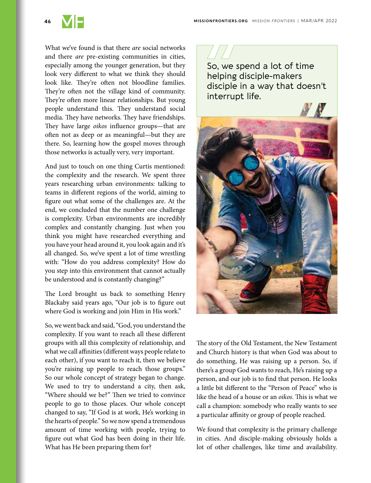

What we've found is that there *are* social networks and there *are* pre-existing communities in cities, especially among the younger generation, but they look very different to what we think they should look like. They're often not bloodline families. They're often not the village kind of community. They're often more linear relationships. But young people understand this. They understand social media. They have networks. They have friendships. They have large *oikos* influence groups—that are often not as deep or as meaningful—but they are there. So, learning how the gospel moves through those networks is actually very, very important.

And just to touch on one thing Curtis mentioned: the complexity and the research. We spent three years researching urban environments: talking to teams in different regions of the world, aiming to figure out what some of the challenges are. At the end, we concluded that the number one challenge is complexity. Urban environments are incredibly complex and constantly changing. Just when you think you might have researched everything and you have your head around it, you look again and it's all changed. So, we've spent a lot of time wrestling with: "How do you address complexity? How do you step into this environment that cannot actually be understood and is constantly changing?"

The Lord brought us back to something Henry Blackaby said years ago, "Our job is to figure out where God is working and join Him in His work."

So, we went back and said, "God, you understand the complexity. If you want to reach all these different groups with all this complexity of relationship, and what we call affinities (different ways people relate to each other), if you want to reach it, then we believe you're raising up people to reach those groups." So our whole concept of strategy began to change. We used to try to understand a city, then ask, "Where should we be?" Then we tried to convince people to go to those places. Our whole concept changed to say, "If God is at work, He's working in the hearts of people." So we now spend a tremendous amount of time working with people, trying to figure out what God has been doing in their life. What has He been preparing them for?

So, we spend a lot of time helping disciple-makers disciple in a way that doesn't interrupt life.



The story of the Old Testament, the New Testament and Church history is that when God was about to do something, He was raising up a person. So, if there's a group God wants to reach, He's raising up a person, and our job is to find that person. He looks a little bit different to the "Person of Peace" who is like the head of a house or an *oikos*. This is what we call a champion: somebody who really wants to see a particular affinity or group of people reached.

We found that complexity is the primary challenge in cities. And disciple-making obviously holds a lot of other challenges, like time and availability.